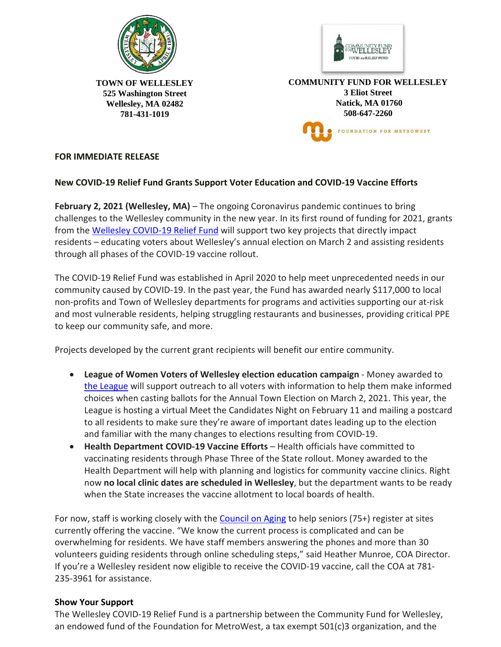



**TOWN OF WELLESLEY 525 Washington Street Wellesley, MA 02482 781-431-1019** 

**COMMUNITY FUND FOR WELLESLEY 3 Eliot Street Natick, MA 01760 508-647-2260** FOUNDATION FOR METROWEST

## **FOR IMMEDIATE RELEASE**

## **New COVID-19 Relief Fund Grants Support Voter Education and COVID-19 Vaccine Efforts**

**February 2, 2021 (Wellesley, MA)** – The ongoing Coronavirus pandemic continues to bring challenges to the Wellesley community in the new year. In its first round of funding for 2021, grants from the Wellesley [COVID-19](https://wellesleyma.gov/1503/Community-Fund-for-Wellesley) Relief Fund will support two key projects that directly impact residents – educating voters about Wellesley's annual election on March 2 and assisting residents through all phases of the COVID-19 vaccine rollout.

The COVID-19 Relief Fund was established in April 2020 to help meet unprecedented needs in our community caused by COVID-19. In the past year, the Fund has awarded nearly \$117,000 to local non-profits and Town of Wellesley departments for programs and activities supporting our at-risk and most vulnerable residents, helping struggling restaurants and businesses, providing critical PPE to keep our community safe, and more.

Projects developed by the current grant recipients will benefit our entire community.

- **League of Women Voters of Wellesley election education campaign** Money awarded to the [League](https://my.lwv.org/massachusetts/wellesley) will support outreach to all voters with information to help them make informed choices when casting ballots for the Annual Town Election on March 2, 2021. This year, the League is hosting a virtual Meet the Candidates Night on February 11 and mailing a postcard to all residents to make sure they're aware of important dates leading up to the election and familiar with the many changes to elections resulting from COVID-19.
- **Health Department COVID-19 Vaccine Efforts** Health officials have committed to vaccinating residents through Phase Three of the State rollout. Money awarded to the Health Department will help with planning and logistics for community vaccine clinics. Right now **no local clinic dates are scheduled in Wellesley**, but the department wants to be ready when the State increases the vaccine allotment to local boards of health.

For now, staff is working closely with the [Council](https://wellesleyma.gov/374/Council-on-Aging) on Aging to help seniors (75+) register at sites currently offering the vaccine. "We know the current process is complicated and can be overwhelming for residents. We have staff members answering the phones and more than 30 volunteers guiding residents through online scheduling steps," said Heather Munroe, COA Director. If you're a Wellesley resident now eligible to receive the COVID-19 vaccine, call the COA at 781- 235-3961 for assistance.

## **Show Your Support**

The Wellesley COVID-19 Relief Fund is a partnership between the Community Fund for Wellesley, an endowed fund of the Foundation for MetroWest, a tax exempt 501(c)3 organization, and the